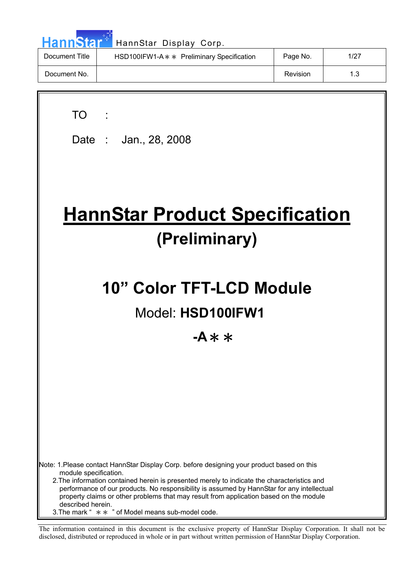| <b>HannStar</b> * | HannStar Display Corp.                     |          |      |
|-------------------|--------------------------------------------|----------|------|
| Document Title    | HSD100IFW1-A * * Preliminary Specification | Page No. | 1/27 |
| Document No.      |                                            | Revision | 1.3  |

 $\overline{\mathbf{u}}$ 

 $\overline{\phantom{a}}$ 

| TO TO                                                                                                                                                                                                                                                                                                    |
|----------------------------------------------------------------------------------------------------------------------------------------------------------------------------------------------------------------------------------------------------------------------------------------------------------|
| Date: Jan., 28, 2008                                                                                                                                                                                                                                                                                     |
|                                                                                                                                                                                                                                                                                                          |
|                                                                                                                                                                                                                                                                                                          |
| <b>HannStar Product Specification</b>                                                                                                                                                                                                                                                                    |
| (Preliminary)                                                                                                                                                                                                                                                                                            |
| 10" Color TFT-LCD Module                                                                                                                                                                                                                                                                                 |
|                                                                                                                                                                                                                                                                                                          |
| Model: HSD100IFW1                                                                                                                                                                                                                                                                                        |
| -A $\ast$ $\ast$                                                                                                                                                                                                                                                                                         |
|                                                                                                                                                                                                                                                                                                          |
|                                                                                                                                                                                                                                                                                                          |
|                                                                                                                                                                                                                                                                                                          |
|                                                                                                                                                                                                                                                                                                          |
|                                                                                                                                                                                                                                                                                                          |
|                                                                                                                                                                                                                                                                                                          |
| Note: 1.Please contact HannStar Display Corp. before designing your product based on this<br>module specification.                                                                                                                                                                                       |
| 2. The information contained herein is presented merely to indicate the characteristics and<br>performance of our products. No responsibility is assumed by HannStar for any intellectual<br>property claims or other problems that may result from application based on the module<br>described herein. |
| 3. The mark " $* *$ " of Model means sub-model code.                                                                                                                                                                                                                                                     |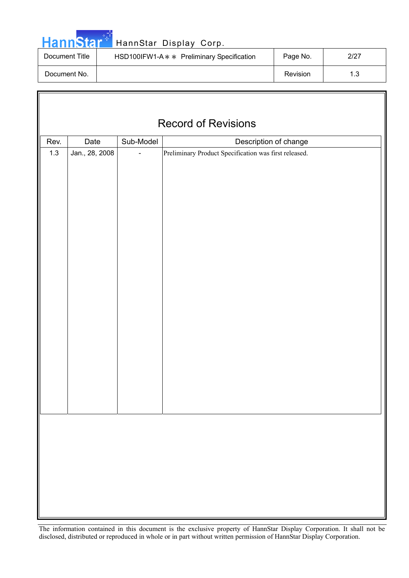| ann | . N |  |
|-----|-----|--|
|     |     |  |

 $\overline{\mathbb{F}}$ 

## HannStar Display Corp.

| Document Title | HSD100IFW1-A * * Preliminary Specification | Page No. | 2/27 |
|----------------|--------------------------------------------|----------|------|
| Document No.   |                                            | Revision | 1.3  |

| <b>Record of Revisions</b> |                |           |                                                       |  |  |
|----------------------------|----------------|-----------|-------------------------------------------------------|--|--|
|                            |                | Sub-Model |                                                       |  |  |
| Rev.                       | Date           |           | Description of change                                 |  |  |
| $1.3$                      | Jan., 28, 2008 |           | Preliminary Product Specification was first released. |  |  |
|                            |                |           |                                                       |  |  |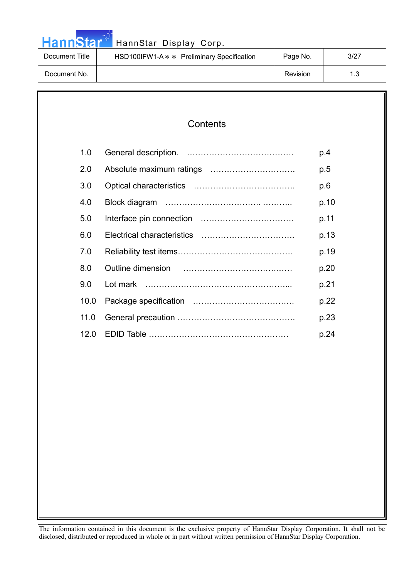|  |  | <b>HannStar</b> |  |
|--|--|-----------------|--|
|  |  |                 |  |

## HannStar Display Corp.

| Document Title | HSD100IFW1-A * * Preliminary Specification | Page No. | 3/27 |
|----------------|--------------------------------------------|----------|------|
| Document No.   |                                            | Revision | ں ا  |

## **Contents**

| 1.0  |                                                                                                                                                                                                                                    | p.4  |
|------|------------------------------------------------------------------------------------------------------------------------------------------------------------------------------------------------------------------------------------|------|
| 2.0  |                                                                                                                                                                                                                                    | p.5  |
| 3.0  |                                                                                                                                                                                                                                    | p.6  |
| 4.0  |                                                                                                                                                                                                                                    | p.10 |
| 5.0  |                                                                                                                                                                                                                                    | p.11 |
| 6.0  |                                                                                                                                                                                                                                    | p.13 |
| 7.0  |                                                                                                                                                                                                                                    | p.19 |
| 8.0  | Outline dimension <i>manually continued and manually continued</i> and the continued and the continued and the continued and the continued and continued and continued and continued and continued and continued and continued and | p.20 |
| 9.0  |                                                                                                                                                                                                                                    | p.21 |
| 10.0 |                                                                                                                                                                                                                                    | p.22 |
| 11.0 |                                                                                                                                                                                                                                    | p.23 |
| 12 O |                                                                                                                                                                                                                                    | p.24 |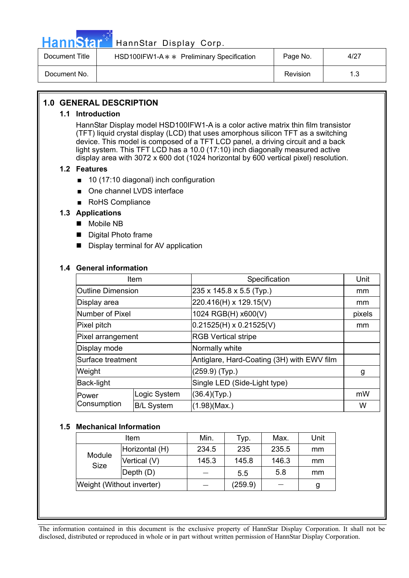

## HannStar<sup>t H</sup> HannStar Display Corp.

| Document Title | HSD100IFW1-A * * Preliminary Specification | Page No. | 4/27 |
|----------------|--------------------------------------------|----------|------|
| Document No.   |                                            | Revision |      |

## **1.0 GENERAL DESCRIPTION**

#### **1.1 Introduction**

HannStar Display model HSD100IFW1-A is a color active matrix thin film transistor (TFT) liquid crystal display (LCD) that uses amorphous silicon TFT as a switching device. This model is composed of a TFT LCD panel, a driving circuit and a back light system. This TFT LCD has a 10.0 (17:10) inch diagonally measured active display area with 3072 x 600 dot (1024 horizontal by 600 vertical pixel) resolution.

### **1.2 Features**

- $\Box$  10 (17:10 diagonal) inch configuration
- One channel LVDS interface
- RoHS Compliance

### **1.3 Applications**

- Mobile NB
- Digital Photo frame
- Display terminal for AV application

### **1.4 General information**

| Item                     |                   | Specification                              | Unit   |
|--------------------------|-------------------|--------------------------------------------|--------|
| <b>Outline Dimension</b> |                   | 235 x 145.8 x 5.5 (Typ.)                   | mm     |
| Display area             |                   | 220.416(H) x 129.15(V)                     | mm     |
| Number of Pixel          |                   | 1024 RGB(H) x600(V)                        | pixels |
| Pixel pitch              |                   | $0.21525(H) \times 0.21525(V)$             | mm     |
| Pixel arrangement        |                   | <b>RGB Vertical stripe</b>                 |        |
| Display mode             |                   | Normally white                             |        |
| Surface treatment        |                   | Antiglare, Hard-Coating (3H) with EWV film |        |
| Weight                   |                   | $(259.9)$ (Typ.)                           | g      |
| Back-light               |                   | Single LED (Side-Light type)               |        |
| Power                    | Logic System      | (36.4)(Typ.)                               | mW     |
| Consumption              | <b>B/L System</b> | (1.98)(Max.)                               | W      |

#### **1.5 Mechanical Information**

| Item                      |                | Min.  | Typ.    | Max.  | Unit |
|---------------------------|----------------|-------|---------|-------|------|
| Module<br><b>Size</b>     | Horizontal (H) | 234.5 | 235     | 235.5 | mm   |
|                           | Vertical (V)   | 145.3 | 145.8   | 146.3 | mm   |
|                           | Depth (D)      |       | 5.5     | 5.8   | mm   |
| Weight (Without inverter) |                |       | (259.9) |       | g    |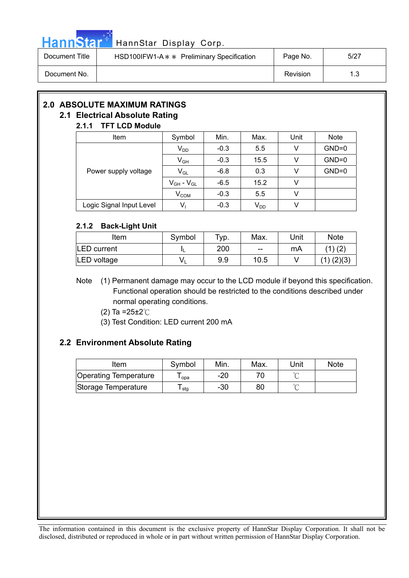

## Hann Star<sup>th</sup> HannStar Display Corp.

| Document Title | HSD100IFW1-A $*$ Preliminary Specification | Page No. | 5/27 |
|----------------|--------------------------------------------|----------|------|
| Document No.   |                                            | Revision |      |

## **2.0 ABSOLUTE MAXIMUM RATINGS 2.1 Electrical Absolute Rating**

## **2.1.1 TFT LCD Module**

| Item                     | Symbol                     | Min.   | Max.     | Unit | <b>Note</b> |  |
|--------------------------|----------------------------|--------|----------|------|-------------|--|
|                          | $V_{DD}$                   | $-0.3$ | 5.5      | v    | $GND=0$     |  |
|                          | $\mathsf{V}_{\mathsf{GH}}$ | $-0.3$ | 15.5     |      | $GND=0$     |  |
| Power supply voltage     | $V_{GL}$                   | $-6.8$ | 0.3      |      | $GND=0$     |  |
|                          | $V_{GH}$ - $V_{GL}$        | $-6.5$ | 15.2     | v    |             |  |
|                          | V <sub>COM</sub>           | $-0.3$ | 5.5      | v    |             |  |
| Logic Signal Input Level | $V_1$                      | $-0.3$ | $V_{DD}$ |      |             |  |

## **2.1.2 Back-Light Unit**

| Item        | Symbol | Typ. | Max.  | Jnit | <b>Note</b>    |
|-------------|--------|------|-------|------|----------------|
| LED current |        | 200  | $- -$ | mA   |                |
| LED voltage | v      | 9.9  | 10.5  |      | $(1)$ $(2)(3)$ |

Note (1) Permanent damage may occur to the LCD module if beyond this specification. Functional operation should be restricted to the conditions described under normal operating conditions.

- (2) Ta = $25 \pm 2^{\circ}$ C
- (3) Test Condition: LED current 200 mA

## **2.2 Environment Absolute Rating**

| Item                         | Symbol | Min. | Max. | Unit   | <b>Note</b> |
|------------------------------|--------|------|------|--------|-------------|
| <b>Operating Temperature</b> | opa    | -20  |      |        |             |
| Storage Temperature          | stg    | -30  | 80   | $\sim$ |             |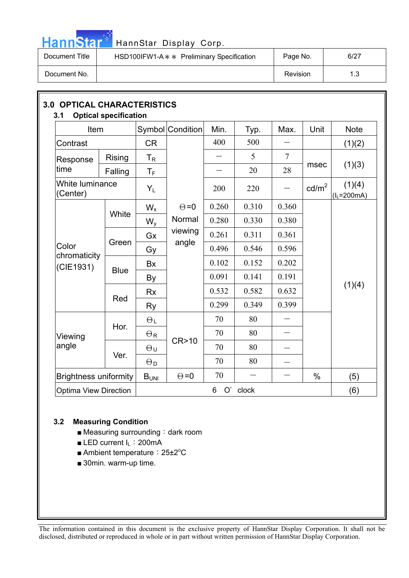

# HannStar<sup>t HannStar Display Corp.</sup>

| Document Title | HSD100IFW1-A $*$ Preliminary Specification | Page No. | 6/27 |
|----------------|--------------------------------------------|----------|------|
| Document No.   |                                            | Revision |      |

| Item                         |             |                           | Symbol Condition | Min.    | Typ.  | Max.           | Unit            | <b>Note</b>             |
|------------------------------|-------------|---------------------------|------------------|---------|-------|----------------|-----------------|-------------------------|
| Contrast                     |             | <b>CR</b>                 |                  | 400     | 500   |                |                 | (1)(2)                  |
| Response                     | Rising      | $\mathsf{T}_{\mathsf{R}}$ |                  |         | 5     | $\overline{7}$ |                 |                         |
| ltime                        | Falling     | $\mathsf{T}_\mathsf{F}$   |                  |         | 20    | 28             | msec            | (1)(3)                  |
| White luminance<br>(Center)  |             | $Y_L$                     |                  | 200     | 220   |                | $\text{cd/m}^2$ | (1)(4)<br>$(I_L=200mA)$ |
|                              |             | $W_{x}$                   | $\Theta = 0$     | 0.260   | 0.310 | 0.360          |                 |                         |
|                              | White       | $W_{V}$                   | Normal           | 0.280   | 0.330 | 0.380          |                 |                         |
|                              |             | Gx                        | viewing          | 0.261   | 0.311 | 0.361          |                 |                         |
| Color<br>chromaticity        | Green       | Gy                        | angle            | 0.496   | 0.546 | 0.596          |                 |                         |
| (CIE1931)                    |             | <b>Bx</b>                 |                  | 0.102   | 0.152 | 0.202          |                 |                         |
|                              | <b>Blue</b> | By                        |                  | 0.091   | 0.141 | 0.191          |                 |                         |
|                              |             | <b>Rx</b>                 |                  | 0.532   | 0.582 | 0.632          |                 | (1)(4)                  |
|                              | Red         | <b>Ry</b>                 |                  | 0.299   | 0.349 | 0.399          |                 |                         |
|                              |             | $\Theta_L$                |                  | 70      | 80    |                |                 |                         |
| Viewing                      | Hor.        | $\Theta$ R                |                  | 70      | 80    | $\equiv$       |                 |                         |
| angle                        |             | $\Theta$ u                | CR>10            | 70      | 80    |                |                 |                         |
|                              | Ver.        | $\Theta_{\mathsf{D}}$     |                  | 70      | 80    |                |                 |                         |
| <b>Brightness uniformity</b> |             | B <sub>UNI</sub>          | $\Theta = 0$     | 70      |       |                | $\%$            | (5)                     |
| <b>Optima View Direction</b> |             |                           |                  | O'<br>6 | clock |                |                 | (6)                     |

## **3.2 Measuring Condition**

- $\blacksquare$  Measuring surrounding: dark room
- **E** LED current  $I_L$ : 200mA
- Ambient temperature: 25±2<sup>o</sup>C
- $\blacksquare$  30min. warm-up time.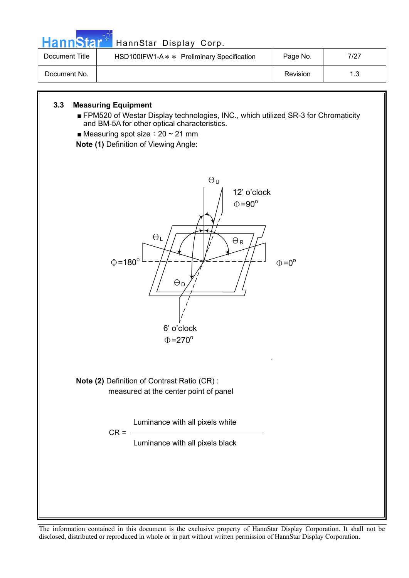

Luminance with all pixels white

 $CR = -$ 

Luminance with all pixels black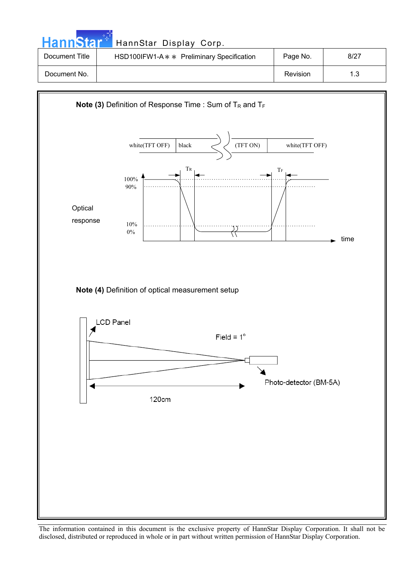| <b>HannStart</b> | HannStar Display Corp.                     |          |      |
|------------------|--------------------------------------------|----------|------|
| Document Title   | HSD100IFW1-A * * Preliminary Specification | Page No. | 8/27 |
| Document No.     |                                            | Revision | 1.3  |

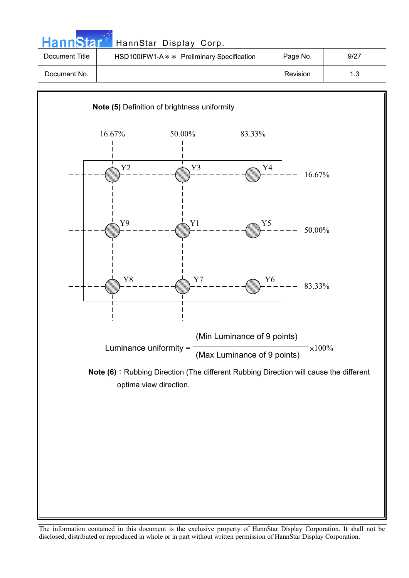| HannStar <sup>*</sup> | HannStar Display Corp.                     |          |      |
|-----------------------|--------------------------------------------|----------|------|
| Document Title        | HSD100IFW1-A * * Preliminary Specification | Page No. | 9/27 |
| Document No.          |                                            | Revision | 1.3  |

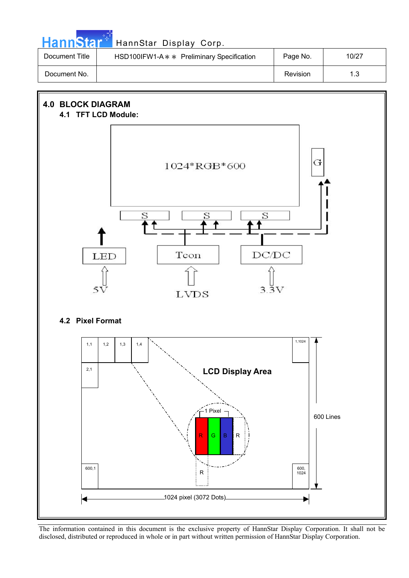| HannStar <sup>*</sup> | HannStar Display Corp.                     |          |       |
|-----------------------|--------------------------------------------|----------|-------|
| Document Title        | HSD100IFW1-A * * Preliminary Specification | Page No. | 10/27 |
| Document No.          |                                            | Revision | 1.3   |

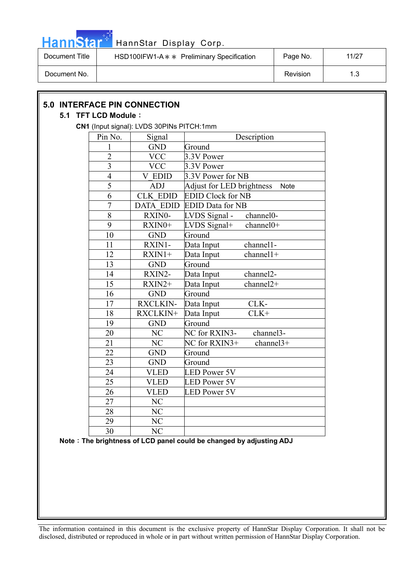

# HannStar<sup>t HannStar Display Corp.</sup>

| Document Title | HSD100IFW1-A * * Preliminary Specification | Page No. | 11/27 |
|----------------|--------------------------------------------|----------|-------|
| Document No.   |                                            | Revision | 19    |

| <b>5.0 INTERFACE PIN CONNECTION</b><br>5.1 TFT LCD Module: |                |                                           |                                                                     |  |
|------------------------------------------------------------|----------------|-------------------------------------------|---------------------------------------------------------------------|--|
|                                                            |                | CN1 (Input signal): LVDS 30PINs PITCH:1mm |                                                                     |  |
|                                                            | Pin No.        | Signal                                    | Description                                                         |  |
|                                                            | 1              | $\operatorname{GND}$                      | Ground                                                              |  |
|                                                            | $\overline{2}$ | <b>VCC</b>                                | 3.3V Power                                                          |  |
|                                                            | 3              | <b>VCC</b>                                | 3.3V Power                                                          |  |
|                                                            | $\overline{4}$ | <b>V EDID</b>                             | 3.3V Power for NB                                                   |  |
|                                                            | 5              | <b>ADJ</b>                                | <b>Adjust for LED brightness</b><br><b>Note</b>                     |  |
|                                                            | 6              | <b>CLK EDID</b>                           | <b>EDID Clock for NB</b>                                            |  |
|                                                            | 7              | <b>DATA EDID</b>                          | <b>EDID Data for NB</b>                                             |  |
|                                                            | 8              | RXIN0-                                    | channel0-<br>LVDS Signal -                                          |  |
|                                                            | 9              | RXIN0+                                    | channel0+<br>LVDS Signal+                                           |  |
|                                                            | 10             | <b>GND</b>                                | Ground                                                              |  |
|                                                            | 11             | RXIN1-                                    | Data Input<br>channel1-                                             |  |
|                                                            | 12             | $RXIN1+$                                  | channel1+<br>Data Input                                             |  |
|                                                            | 13             | <b>GND</b>                                | Ground                                                              |  |
|                                                            | 14             | RXIN2-                                    | channel2-<br>Data Input                                             |  |
|                                                            | 15             | RXIN2+                                    | channel <sub>2+</sub><br>Data Input                                 |  |
|                                                            | 16             | <b>GND</b>                                | Ground                                                              |  |
|                                                            | 17             | <b>RXCLKIN-</b>                           | CLK-<br>Data Input                                                  |  |
|                                                            | 18             | RXCLKIN+                                  | $CLK+$<br>Data Input                                                |  |
|                                                            | 19             | <b>GND</b>                                | Ground                                                              |  |
|                                                            | 20             | NC                                        | channel3-<br>NC for RXIN3-                                          |  |
|                                                            | 21             | NC                                        | channel3+<br>NC for RXIN3+                                          |  |
|                                                            | 22             | <b>GND</b>                                | Ground                                                              |  |
|                                                            | 23             | <b>GND</b>                                | Ground                                                              |  |
|                                                            | 24             | <b>VLED</b>                               | <b>LED Power 5V</b>                                                 |  |
|                                                            | 25             | <b>VLED</b>                               | <b>LED Power 5V</b>                                                 |  |
|                                                            | 26             | <b>VLED</b>                               | <b>LED Power 5V</b>                                                 |  |
|                                                            | 27             | N <sub>C</sub>                            |                                                                     |  |
|                                                            | 28             | NC                                        |                                                                     |  |
|                                                            | 29             | NC                                        |                                                                     |  |
|                                                            | 30             | NC                                        |                                                                     |  |
|                                                            |                |                                           | Note: The brightness of LCD panel could be changed by adjusting ADJ |  |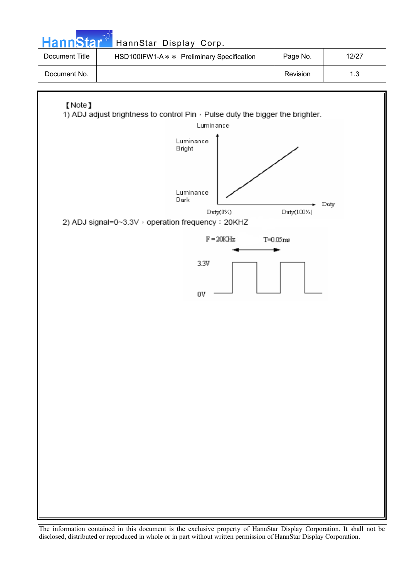| <b>HannStar</b> <sup>+1</sup> | HannStar Display Corp.                     |          |       |
|-------------------------------|--------------------------------------------|----------|-------|
| Document Title                | HSD100IFW1-A * * Preliminary Specification | Page No. | 12/27 |
| Document No.                  |                                            | Revision | 1.3   |
|                               |                                            |          |       |
|                               |                                            |          |       |

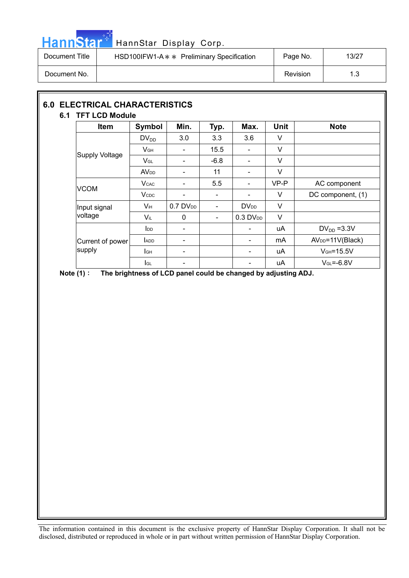

## HannStar<sup>#T</sup> HannStar Display Corp.

| Document Title | HSD100IFW1-A * * Preliminary Specification | Page No. | 13/27 |
|----------------|--------------------------------------------|----------|-------|
| Document No.   |                                            | Revision |       |

## **6.0 ELECTRICAL CHARACTERISTICS 6.1 TFT LCD Module**

## Item Symbol Min. Typ. Max. Unit Note  $DV_{DD}$  3.0 3.3 3.6 V  $V_{GH}$  | - | 15.5 | - | V  $\begin{array}{|c|c|c|c|c|}\n\hline\n\text{Supply Voltage} & & & \text{VGL} & - & -6.8 & - & \text{V} \\
\hline\n\end{array}$ AV<sub>DD</sub> - 11 - V VCOM V<sub>CAC</sub> - 5.5 - VP-P AC component  $V_{\text{CDC}}$  | - | - | V | DC component, (1) Input signal  $\begin{vmatrix} V_{iH} & 0.7 \text{ D}V_{DD} & - & \text{D}V_{DD} \end{vmatrix}$  V voltage  $V_{iL}$  0 - 0.3 DV<sub>DD</sub> V  $\begin{vmatrix} 1_{\text{DD}} & | & - & | & \end{vmatrix}$  -  $\begin{vmatrix} 1_{\text{DD}} & | & 1_{\text{DD}} \\ 1_{\text{DD}} & | & - \end{vmatrix}$  uA  $\begin{vmatrix} 1_{\text{DD}} & | & -3.3 \end{vmatrix}$  $I_{ADD}$  -  $\vert$  -  $\vert$  -  $\vert$  mA  $\vert$  AV<sub>DD</sub>=11V(Black)  $I_{GH}$  -  $\vert$  -  $\vert$  -  $\vert$  uA  $\vert$  VGH=15.5V Current of power supply IGL - - uA VGL=-6.8V

**Note (1)**: The brightness of LCD panel could be changed by adjusting ADJ.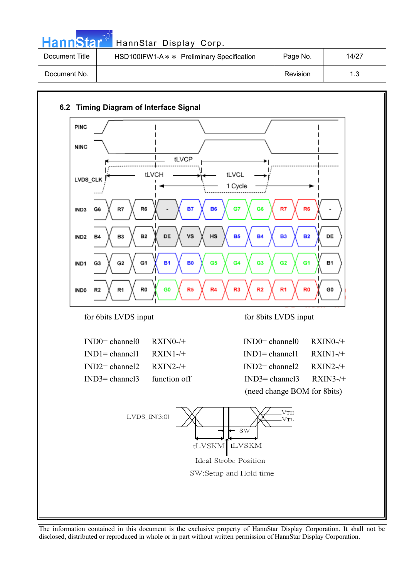| <b>HannStar</b> | HannStar Display Corp.                     |                 |       |
|-----------------|--------------------------------------------|-----------------|-------|
| Document Title  | HSD100IFW1-A * * Preliminary Specification | Page No.        | 14/27 |
| Document No.    |                                            | <b>Revision</b> | 1.3   |

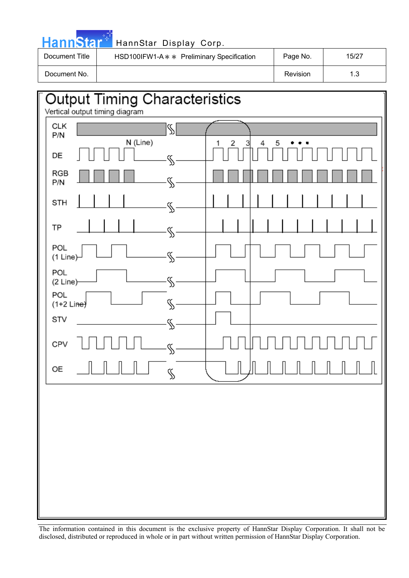|                | HannStar <sup>#</sup> HannStar Display Corp. |  |
|----------------|----------------------------------------------|--|
| Document Title | HSD100IFW1-A∗∗ Preliminary Specificati       |  |

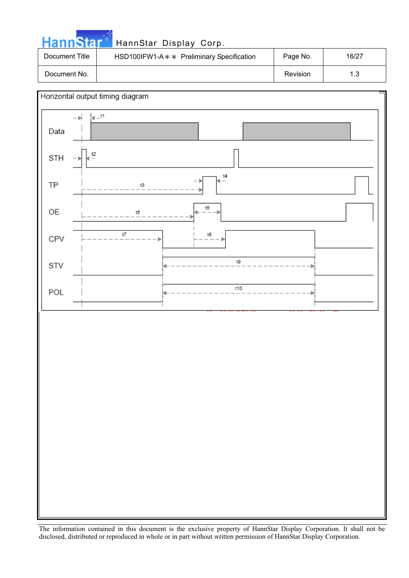| <b>HannStar</b> * | HannStar Display Corp.                     |          |       |
|-------------------|--------------------------------------------|----------|-------|
| Document Title    | HSD100IFW1-A * * Preliminary Specification | Page No. | 16/27 |
| Document No.      |                                            | Revision | 1.3   |

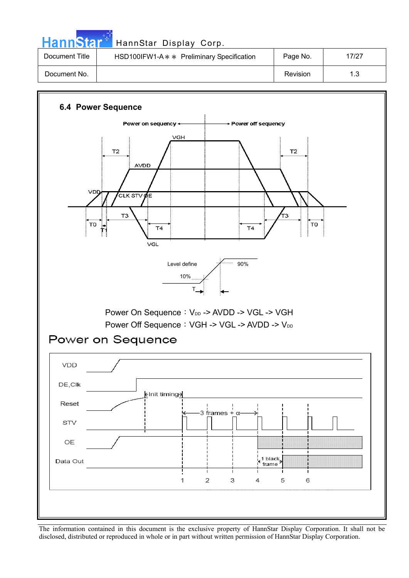| HannStar <sup>*</sup> | HannStar Display Corp.                     |          |       |
|-----------------------|--------------------------------------------|----------|-------|
| Document Title        | HSD100IFW1-A * * Preliminary Specification | Page No. | 17/27 |
| Document No.          |                                            | Revision | 1.3   |

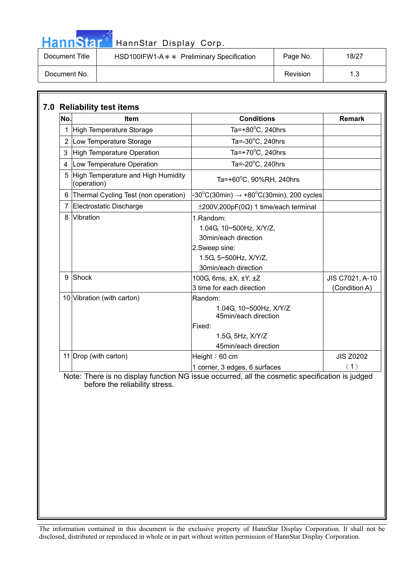| . . |  | <u>annstar</u> |  |
|-----|--|----------------|--|

## HannStar Display Corp.

| Document Title | HSD100IFW1-A $*$ Preliminary Specification | Page No. | 18/27 |
|----------------|--------------------------------------------|----------|-------|
| Document No.   |                                            | Revision |       |

| No. | <b>Item</b>                                       | <b>Conditions</b>                                                                                                              | <b>Remark</b>                    |
|-----|---------------------------------------------------|--------------------------------------------------------------------------------------------------------------------------------|----------------------------------|
|     | High Temperature Storage                          | Ta=+80 $\degree$ C, 240hrs                                                                                                     |                                  |
|     | 2 Low Temperature Storage                         | Ta= $-30^{\circ}$ C, 240hrs                                                                                                    |                                  |
| 3   | <b>High Temperature Operation</b>                 | Ta=+70 $\mathrm{^{\circ}C}$ , 240hrs                                                                                           |                                  |
| 4   | Low Temperature Operation                         | Ta= $-20^{\circ}$ C, 240hrs                                                                                                    |                                  |
| 5   | High Temperature and High Humidity<br>(operation) | Ta=+60°C, 90%RH, 240hrs                                                                                                        |                                  |
| 6   | Thermal Cycling Test (non operation)              | $-30^{\circ}$ C(30min) $\rightarrow +80^{\circ}$ C(30min), 200 cycles                                                          |                                  |
|     | Electrostatic Discharge                           | $\pm 200V, 200pF(0\Omega)$ 1 time/each terminal                                                                                |                                  |
| 8   | Vibration                                         | 1.Random:<br>1.04G, 10~500Hz, X/Y/Z,<br>30min/each direction<br>2.Sweep sine:<br>1.5G, 5~500Hz, X/Y/Z,<br>30min/each direction |                                  |
| 9   | Shock                                             | 100G, 6ms, ±X, ±Y, ±Z<br>3 time for each direction                                                                             | JIS C7021, A-10<br>(Condition A) |
|     | 10 Vibration (with carton)                        | Random:<br>1.04G, 10~500Hz, X/Y/Z<br>45min/each direction<br>Fixed:<br>1.5G, 5Hz, X/Y/Z<br>45min/each direction                |                                  |
|     | 11 Drop (with carton)                             | Height: 60 cm<br>1 corner, 3 edges, 6 surfaces                                                                                 | <b>JIS Z0202</b><br>(1)          |

 Note: There is no display function NG issue occurred, all the cosmetic specification is judged before the reliability stress.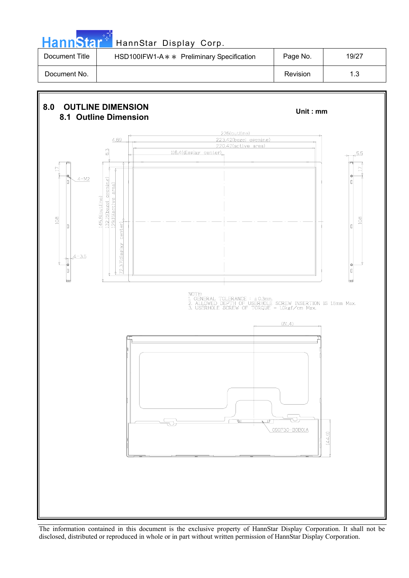| <b>HannStar</b> <sup>*</sup> | HannStar Display Corp.                     |          |       |
|------------------------------|--------------------------------------------|----------|-------|
| Document Title               | HSD100IFW1-A * * Preliminary Specification | Page No. | 19/27 |
|                              |                                            |          |       |

الوالي

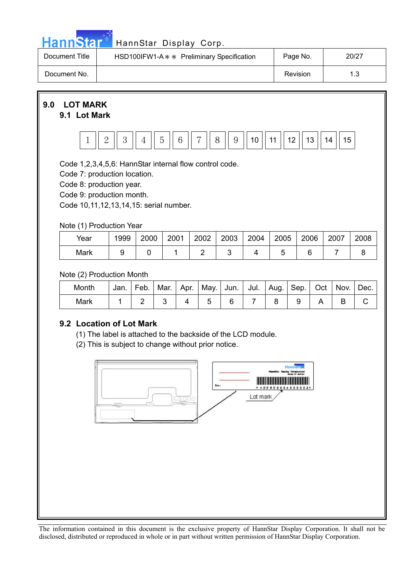|  |  | <b>HannStar</b> |  |
|--|--|-----------------|--|
|  |  |                 |  |
|  |  |                 |  |

## HannStar Display Corp.

| Document Title | HSD100IFW1-A * * Preliminary Specification | Page No. | 20/27 |
|----------------|--------------------------------------------|----------|-------|
| Document No.   |                                            | Revision |       |



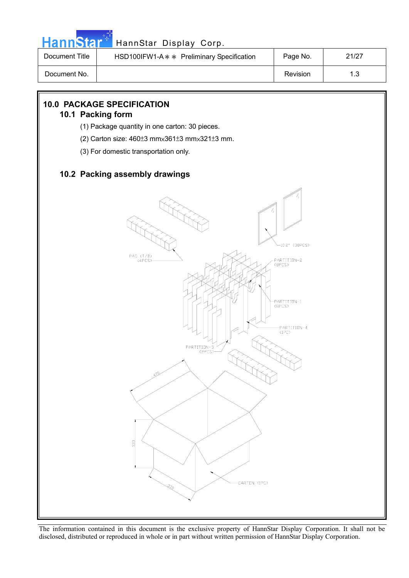

## HannStar<sup>#T</sup> HannStar Display Corp.

| Document Title | HSD100IFW1-A * * Preliminary Specification | Page No. | 21/27 |
|----------------|--------------------------------------------|----------|-------|
| Document No.   |                                            | Revision |       |

## **10.0 PACKAGE SPECIFICATION**

## **10.1 Packing form**

- (1) Package quantity in one carton: 30 pieces.
- (2) Carton size:  $460±3$  mm $\times361±3$  mm $\times321±3$  mm.
- (3) For domestic transportation only.

## **10.2 Packing assembly drawings**

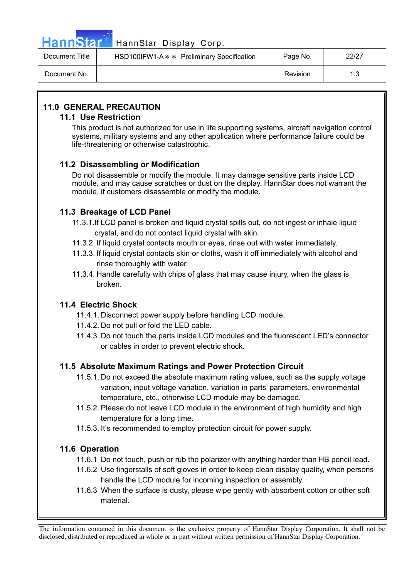

## HannStar<sup>47</sup> HannStar Display Corp.

| Document Title | HSD100IFW1-A * * Preliminary Specification | Page No. | 22/27 |
|----------------|--------------------------------------------|----------|-------|
| Document No.   |                                            | Revision |       |

## **11.0 GENERAL PRECAUTION**

## **11.1 Use Restriction**

This product is not authorized for use in life supporting systems, aircraft navigation control systems, military systems and any other application where performance failure could be life-threatening or otherwise catastrophic.

## **11.2 Disassembling or Modification**

Do not disassemble or modify the module. It may damage sensitive parts inside LCD module, and may cause scratches or dust on the display. HannStar does not warrant the module, if customers disassemble or modify the module.

## **11.3 Breakage of LCD Panel**

- 11.3.1.If LCD panel is broken and liquid crystal spills out, do not ingest or inhale liquid crystal, and do not contact liquid crystal with skin.
- 11.3.2. If liquid crystal contacts mouth or eyes, rinse out with water immediately.
- 11.3.3. If liquid crystal contacts skin or cloths, wash it off immediately with alcohol and rinse thoroughly with water.
- 11.3.4. Handle carefully with chips of glass that may cause injury, when the glass is broken.

## **11.4 Electric Shock**

- 11.4.1. Disconnect power supply before handling LCD module.
- 11.4.2. Do not pull or fold the LED cable.
- 11.4.3. Do not touch the parts inside LCD modules and the fluorescent LED's connector or cables in order to prevent electric shock.

## **11.5 Absolute Maximum Ratings and Power Protection Circuit**

- 11.5.1. Do not exceed the absolute maximum rating values, such as the supply voltage variation, input voltage variation, variation in parts' parameters, environmental temperature, etc., otherwise LCD module may be damaged.
- 11.5.2. Please do not leave LCD module in the environment of high humidity and high temperature for a long time.
- 11.5.3. It's recommended to employ protection circuit for power supply.

## **11.6 Operation**

- 11.6.1 Do not touch, push or rub the polarizer with anything harder than HB pencil lead.
- 11.6.2 Use fingerstalls of soft gloves in order to keep clean display quality, when persons handle the LCD module for incoming inspection or assembly.
- 11.6.3 When the surface is dusty, please wipe gently with absorbent cotton or other soft material.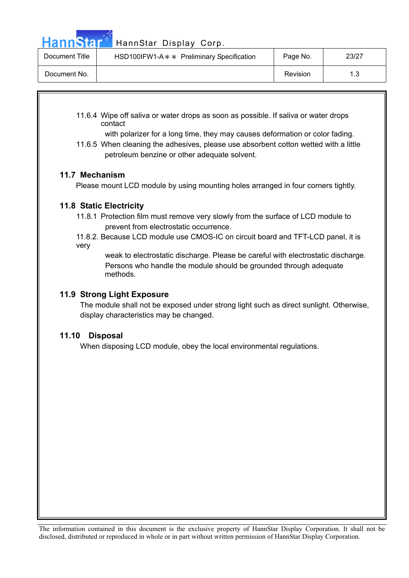Hann Star<sup>4</sup> HannStar Display Corp.

| Document Title | HSD100IFW1-A * * Preliminary Specification | Page No. | 23/27      |
|----------------|--------------------------------------------|----------|------------|
| Document No.   |                                            | Revision | 12<br>ں. ا |

11.6.4 Wipe off saliva or water drops as soon as possible. If saliva or water drops contact

with polarizer for a long time, they may causes deformation or color fading.

11.6.5 When cleaning the adhesives, please use absorbent cotton wetted with a little petroleum benzine or other adequate solvent.

## **11.7 Mechanism**

Please mount LCD module by using mounting holes arranged in four corners tightly.

## **11.8 Static Electricity**

- 11.8.1 Protection film must remove very slowly from the surface of LCD module to prevent from electrostatic occurrence.
- 11.8.2. Because LCD module use CMOS-IC on circuit board and TFT-LCD panel, it is very

 weak to electrostatic discharge. Please be careful with electrostatic discharge. Persons who handle the module should be grounded through adequate methods.

## **11.9 Strong Light Exposure**

The module shall not be exposed under strong light such as direct sunlight. Otherwise, display characteristics may be changed.

## **11.10 Disposal**

When disposing LCD module, obey the local environmental regulations.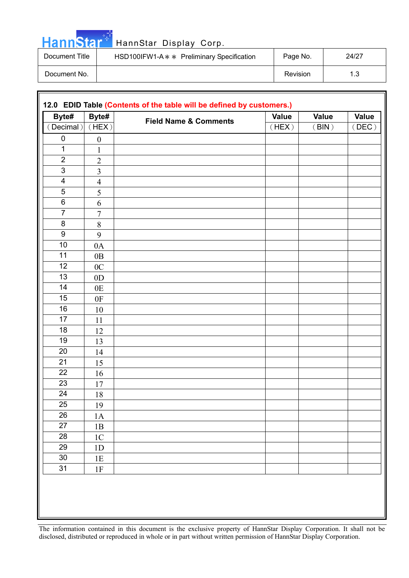| HannStar <sup>*</sup> | HannStar Display Corp.                     |          |       |
|-----------------------|--------------------------------------------|----------|-------|
| Document Title        | HSD100IFW1-A * * Preliminary Specification | Page No. | 24/27 |
| Document No.          |                                            | Revision | 1.3   |

الي بي.<br>مواليد

| Byte#                   | Byte#            | <b>Field Name &amp; Comments</b> | Value | <b>Value</b> | <b>Value</b> |
|-------------------------|------------------|----------------------------------|-------|--------------|--------------|
| $($ Decimal $)$         | (HEX)            |                                  | (HEX) | (BIN)        | (DEC)        |
| $\pmb{0}$               | $\boldsymbol{0}$ |                                  |       |              |              |
| $\mathbf 1$             | $\mathbf{1}$     |                                  |       |              |              |
| $\overline{2}$          | $\overline{2}$   |                                  |       |              |              |
| $\mathfrak{S}$          | $\overline{3}$   |                                  |       |              |              |
| $\overline{\mathbf{4}}$ | $\overline{4}$   |                                  |       |              |              |
| $\overline{5}$          | 5                |                                  |       |              |              |
| 6                       | 6                |                                  |       |              |              |
| $\overline{7}$          | $\tau$           |                                  |       |              |              |
| $\bf 8$                 | $8\,$            |                                  |       |              |              |
| $\boldsymbol{9}$        | 9                |                                  |       |              |              |
| 10                      | 0A               |                                  |       |              |              |
| 11                      | 0B               |                                  |       |              |              |
| 12                      | 0 <sub>C</sub>   |                                  |       |              |              |
| 13                      | 0 <sub>D</sub>   |                                  |       |              |              |
| 14                      | 0E               |                                  |       |              |              |
| 15                      | 0F               |                                  |       |              |              |
| 16                      | 10               |                                  |       |              |              |
| $\overline{17}$         | 11               |                                  |       |              |              |
| 18                      | 12               |                                  |       |              |              |
| 19                      | 13               |                                  |       |              |              |
| 20                      | 14               |                                  |       |              |              |
| 21                      | 15               |                                  |       |              |              |
| 22                      | 16               |                                  |       |              |              |
| 23                      | 17               |                                  |       |              |              |
| 24                      | 18               |                                  |       |              |              |
| 25                      | 19               |                                  |       |              |              |
| 26                      | $1\mathrm{A}$    |                                  |       |              |              |
| 27                      | $1\mathrm{B}$    |                                  |       |              |              |
| 28                      | $1\mathrm{C}$    |                                  |       |              |              |
| 29                      | 1D               |                                  |       |              |              |
| $30\,$                  | 1E               |                                  |       |              |              |
| 31                      | 1F               |                                  |       |              |              |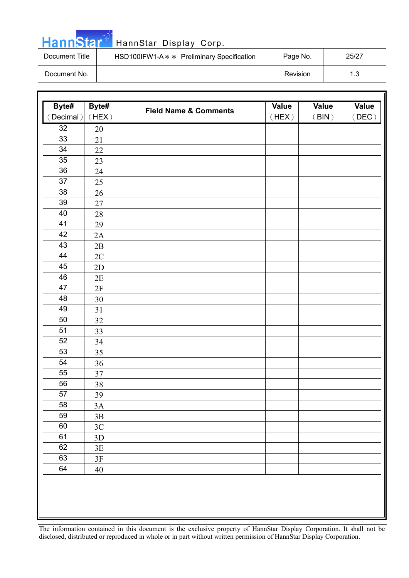| HannStar <sup>*</sup> | HannStar Display Corp.                     |          |       |
|-----------------------|--------------------------------------------|----------|-------|
| Document Title        | HSD100IFW1-A * * Preliminary Specification | Page No. | 25/27 |
| Document No.          |                                            | Revision | 1.3   |

ا است.<br>مواليد

| Byte#<br>Byte#<br><b>Field Name &amp; Comments</b><br>(Decimal)<br>(HEX)<br>(HEX)<br>32<br>20<br>33<br>21<br>34<br>22<br>35<br>23<br>36<br>24<br>37<br>25<br>38<br>26<br>$39\,$<br>27<br>40<br>28<br>41<br>29<br>42<br>2A | <b>Value</b><br>(BIN) | <b>Value</b><br>(DEC) |
|---------------------------------------------------------------------------------------------------------------------------------------------------------------------------------------------------------------------------|-----------------------|-----------------------|
|                                                                                                                                                                                                                           |                       |                       |
|                                                                                                                                                                                                                           |                       |                       |
|                                                                                                                                                                                                                           |                       |                       |
|                                                                                                                                                                                                                           |                       |                       |
|                                                                                                                                                                                                                           |                       |                       |
|                                                                                                                                                                                                                           |                       |                       |
|                                                                                                                                                                                                                           |                       |                       |
|                                                                                                                                                                                                                           |                       |                       |
|                                                                                                                                                                                                                           |                       |                       |
|                                                                                                                                                                                                                           |                       |                       |
|                                                                                                                                                                                                                           |                       |                       |
|                                                                                                                                                                                                                           |                       |                       |
| 43<br>$2\mathrm{B}$                                                                                                                                                                                                       |                       |                       |
| 44<br>2C                                                                                                                                                                                                                  |                       |                       |
| 45<br>2D                                                                                                                                                                                                                  |                       |                       |
| 46<br>2E                                                                                                                                                                                                                  |                       |                       |
| 47<br>2F                                                                                                                                                                                                                  |                       |                       |
| 48<br>$30\,$                                                                                                                                                                                                              |                       |                       |
| 49<br>31                                                                                                                                                                                                                  |                       |                       |
| 50<br>32                                                                                                                                                                                                                  |                       |                       |
| 51<br>33                                                                                                                                                                                                                  |                       |                       |
| 52<br>34                                                                                                                                                                                                                  |                       |                       |
| 53<br>35                                                                                                                                                                                                                  |                       |                       |
| 54<br>36                                                                                                                                                                                                                  |                       |                       |
| 55<br>37                                                                                                                                                                                                                  |                       |                       |
| 56<br>38                                                                                                                                                                                                                  |                       |                       |
| 57<br>39                                                                                                                                                                                                                  |                       |                       |
| 58<br>$3A$                                                                                                                                                                                                                |                       |                       |
| 59<br>$3\mathrm{B}$                                                                                                                                                                                                       |                       |                       |
| 60<br>$3\mathrm{C}$                                                                                                                                                                                                       |                       |                       |
| 61<br>$3D$                                                                                                                                                                                                                |                       |                       |
| 62<br>$3E$                                                                                                                                                                                                                |                       |                       |
| 63<br>$3\mathrm{F}$                                                                                                                                                                                                       |                       |                       |
| 64<br>40                                                                                                                                                                                                                  |                       |                       |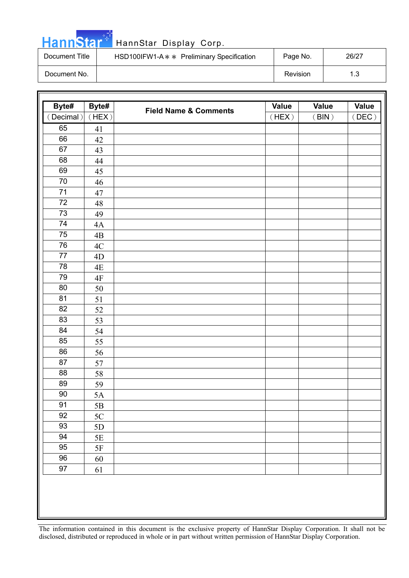| <b>HannStar*</b> | HannStar Display Corp.                     |          |       |
|------------------|--------------------------------------------|----------|-------|
| Document Title   | HSD100IFW1-A * * Preliminary Specification | Page No. | 26/27 |
| Document No.     |                                            | Revision | 1.3   |

والوارد

| Byte#     | Byte#         |                                  | <b>Value</b> | <b>Value</b>                   | <b>Value</b> |
|-----------|---------------|----------------------------------|--------------|--------------------------------|--------------|
| (Decimal) | (HEX)         | <b>Field Name &amp; Comments</b> | (HEX)        | $\left(\, \text{BIN}\,\right)$ | (DEC)        |
| 65        | 41            |                                  |              |                                |              |
| 66        | 42            |                                  |              |                                |              |
| 67        | 43            |                                  |              |                                |              |
| 68        | 44            |                                  |              |                                |              |
| 69        | 45            |                                  |              |                                |              |
| 70        | 46            |                                  |              |                                |              |
| $71$      | 47            |                                  |              |                                |              |
| $72\,$    | 48            |                                  |              |                                |              |
| 73        | 49            |                                  |              |                                |              |
| 74        | 4A            |                                  |              |                                |              |
| 75        | 4B            |                                  |              |                                |              |
| 76        | 4C            |                                  |              |                                |              |
| 77        | 4D            |                                  |              |                                |              |
| 78        | 4E            |                                  |              |                                |              |
| 79        | 4F            |                                  |              |                                |              |
| 80        | 50            |                                  |              |                                |              |
| 81        | 51            |                                  |              |                                |              |
| 82        | 52            |                                  |              |                                |              |
| 83        | 53            |                                  |              |                                |              |
| 84        | 54            |                                  |              |                                |              |
| 85        | 55            |                                  |              |                                |              |
| 86        | 56            |                                  |              |                                |              |
| 87        | 57            |                                  |              |                                |              |
| 88        | 58            |                                  |              |                                |              |
| 89        | 59            |                                  |              |                                |              |
| $90\,$    | 5A            |                                  |              |                                |              |
| 91        | $5\mathrm{B}$ |                                  |              |                                |              |
| 92        | $5\mathrm{C}$ |                                  |              |                                |              |
| 93        | $5D$          |                                  |              |                                |              |
| 94        | $5\mathrm{E}$ |                                  |              |                                |              |
| 95        | $5F$          |                                  |              |                                |              |
| 96        | 60            |                                  |              |                                |              |
| 97        | 61            |                                  |              |                                |              |